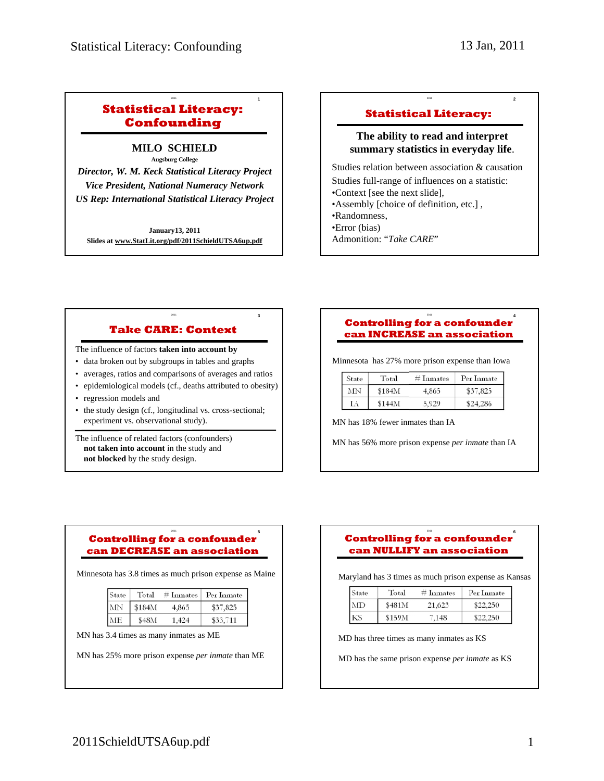<sup>2011</sup> **2**

## **Statistical Literacy: Confounding**

<sup>2011</sup> **1**

**MILO SCHIELD Augsburg College** 

*Director, W. M. Keck Statistical Literacy Project Vice President, National Numeracy Network US Rep: International Statistical Literacy Project*

**January13, 2011 Slides at www.StatLit.org/pdf/2011SchieldUTSA6up.pdf**

### **Statistical Literacy:**

### **The ability to read and interpret summary statistics in everyday life**.

Studies relation between association & causation Studies full-range of influences on a statistic: •Context [see the next slide], •Assembly [choice of definition, etc.] , •Randomness, •Error (bias) Admonition: "*Take CARE*"

# **Take CARE: Context**

<sup>2011</sup> **3**

The influence of factors **taken into account by**

- data broken out by subgroups in tables and graphs
- averages, ratios and comparisons of averages and ratios
- epidemiological models (cf., deaths attributed to obesity)
- regression models and
- the study design (cf., longitudinal vs. cross-sectional; experiment vs. observational study).

The influence of related factors (confounders) **not taken into account** in the study and **not blocked** by the study design.

#### <sup>2011</sup> **4 Controlling for a confounder can INCREASE an association**

Minnesota has 27% more prison expense than Iowa

| State | Total  | $#$ Inmates | Per Inmate |
|-------|--------|-------------|------------|
| MN    | \$184M | 4.865       | \$37,825   |
| LA    | \$144M | 5.929       | \$24,286   |

MN has 18% fewer inmates than IA

MN has 56% more prison expense *per inmate* than IA

#### <sup>2011</sup> **5 Controlling for a confounder can DECREASE an association**

Minnesota has 3.8 times as much prison expense as Maine

| State     | Total  |       | $#$ Inmates $ $ Per Inmate |
|-----------|--------|-------|----------------------------|
| <b>MN</b> | \$184M | 4,865 | \$37,825                   |
|           | 848M   | 424   | \$33,711                   |

MN has 3.4 times as many inmates as ME

MN has 25% more prison expense *per inmate* than ME

#### <sup>2011</sup> **6 Controlling for a confounder can NULLIFY an association**

Maryland has 3 times as much prison expense as Kansas

| State | Total  | $#$ Inmates | Per Inmate |
|-------|--------|-------------|------------|
| MD    | \$481M | 21,623      | 22.250     |
|       | \$159M | '.148       |            |

MD has three times as many inmates as KS

MD has the same prison expense *per inmate* as KS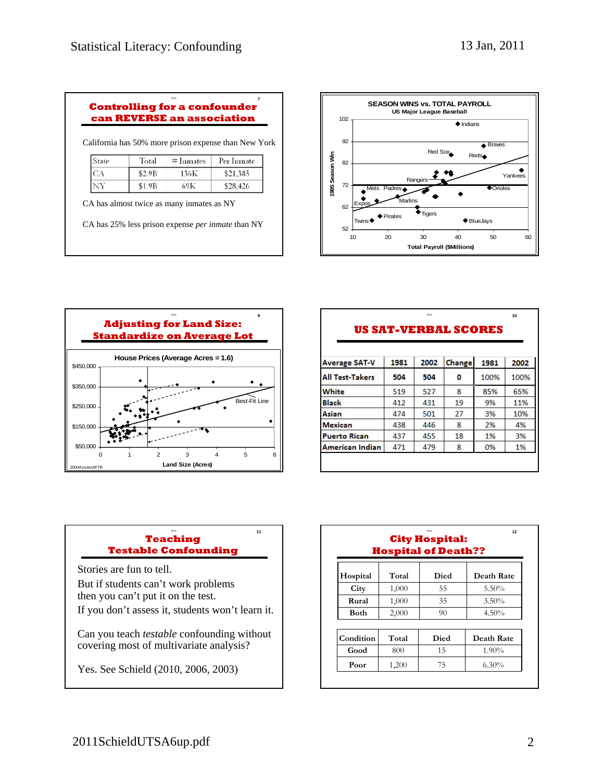| 2011                                |  |
|-------------------------------------|--|
| <b>Controlling for a confounder</b> |  |
| can REVERSE an association          |  |

California has 50% more prison expense than New York

| State | Total  | $#$ Inmates | Per Inmate |
|-------|--------|-------------|------------|
|       | \$2.9B | 136K        | \$21,385   |
| NY    | \$1.9B | 69K         | \$28,426   |

CA has almost twice as many inmates as NY

CA has 25% less prison expense *per inmate* than NY





|                        |      |      | <b>US SAT-VERBAL SCORES</b> |      |      |
|------------------------|------|------|-----------------------------|------|------|
| <b>Average SAT-V</b>   | 1981 | 2002 | Change                      | 1981 | 2002 |
| <b>All Test-Takers</b> | 504  | 504  | 0                           | 100% | 100% |
| White                  | 519  | 527  | 8                           | 85%  | 65%  |
| Black                  | 412  | 431  | 19                          | 9%   | 11%  |
| Asian                  | 474  | 501  | 27                          | 3%   | 10%  |
| <b>Mexican</b>         | 438  | 446  | 8                           | 2%   | 4%   |
| <b>Puerto Rican</b>    | 437  | 455  | 18                          | 1%   | 3%   |
| American Indian        | 471  | 479  | 8                           | 0%   | 1%   |

### <sup>2011</sup> **11 Teaching Testable Confounding**

Stories are fun to tell. But if students can't work problems then you can't put it on the test.

If you don't assess it, students won't learn it.

Can you teach *testable* confounding without covering most of multivariate analysis?

Yes. See Schield (2010, 2006, 2003)

| 2011<br>12<br><b>City Hospital:</b><br><b>Hospital of Death??</b> |       |      |            |  |
|-------------------------------------------------------------------|-------|------|------------|--|
| Hospital                                                          | Total | Died | Death Rate |  |
| City                                                              | 1,000 | 55   | 5.50%      |  |
| Rural                                                             | 1,000 | 35   | 3.50%      |  |
| <b>Both</b>                                                       | 2,000 | 90   | 4.50%      |  |
| Condition                                                         | Total | Died | Death Rate |  |
| Good                                                              | 800   | 15   | 1.90%      |  |
| Poor                                                              | 1,200 | 75   | $6.30\%$   |  |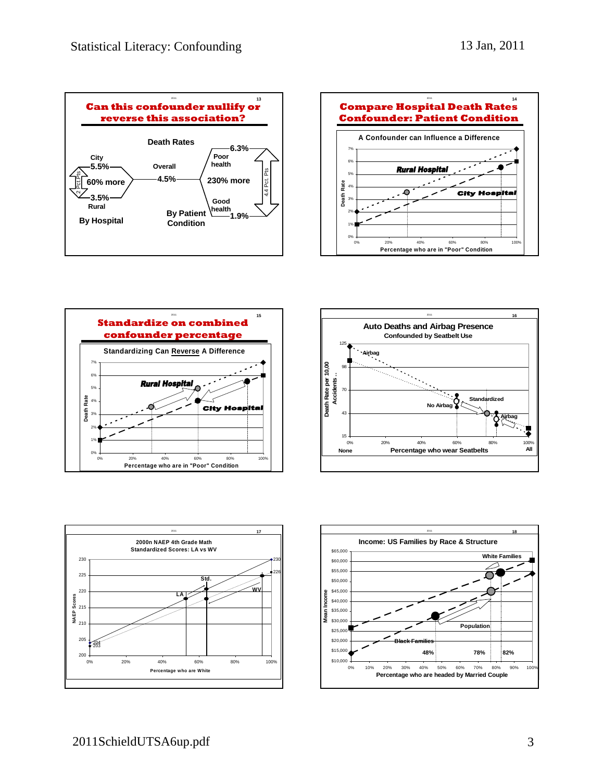